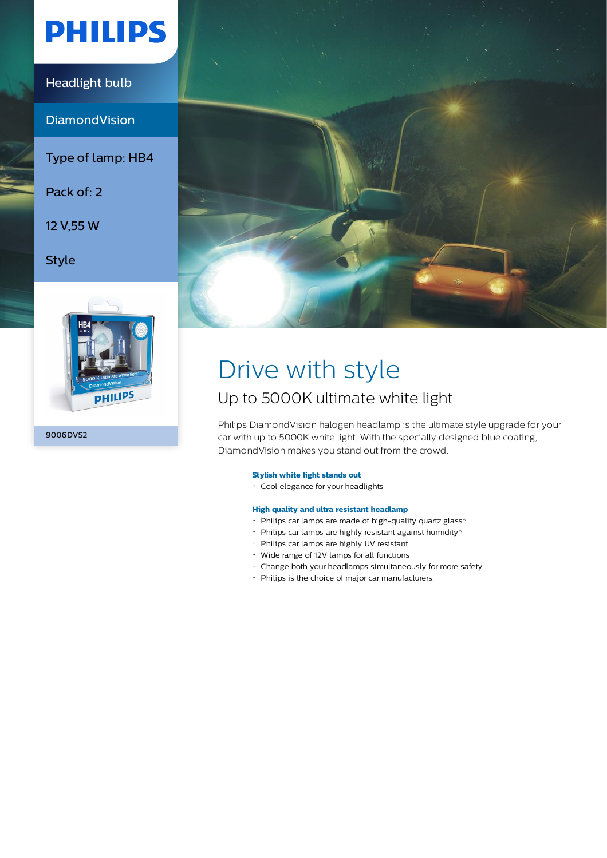# **PHILIPS**

### Headlight bulb

**DiamondVision** 

Type of lamp: HB4

Pack of: 2

12 V,55 W

Style



9006DVS2



# Drive with style

## Up to 5000K ultimate white light

Philips DiamondVision halogen headlamp is the ultimate style upgrade for your car with up to 5000K white light. With the specially designed blue coating, DiamondVision makes you stand out from the crowd.

### **Stylish white light stands out**

Cool elegance for your headlights

### **High quality and ultra resistant headlamp**

- $\cdot$  Philips car lamps are made of high-quality quartz glass<sup> $\wedge$ </sup>
- $\cdot$  Philips car lamps are highly resistant against humidity $\wedge$
- Philips car lamps are highly UV resistant
- Wide range of 12V lamps for all functions
- Change both your headlamps simultaneously for more safety
- Philips is the choice of major car manufacturers.